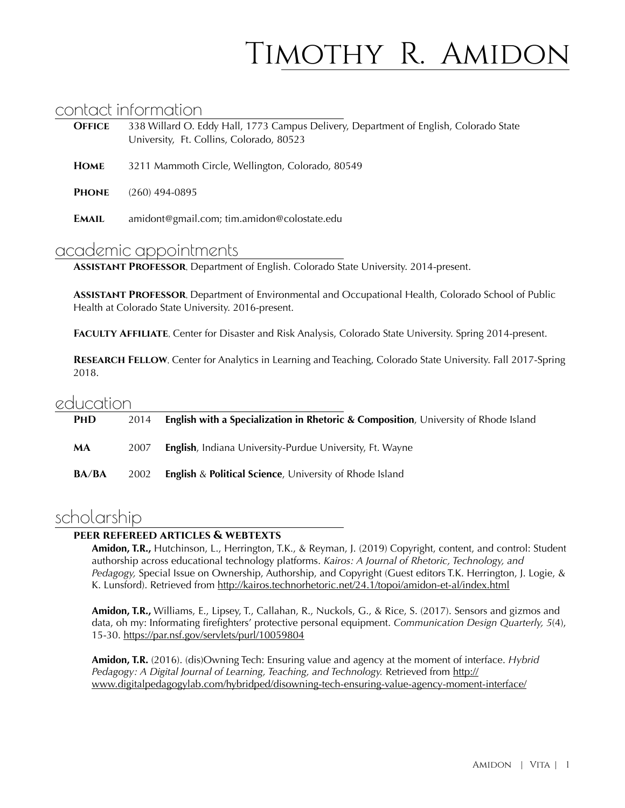# Timothy R. Amidon

### contact information

| <b>OFFICE</b> | 338 Willard O. Eddy Hall, 1773 Campus Delivery, Department of English, Colorado State<br>University, Ft. Collins, Colorado, 80523 |
|---------------|-----------------------------------------------------------------------------------------------------------------------------------|
| <b>HOME</b>   | 3211 Mammoth Circle, Wellington, Colorado, 80549                                                                                  |
| <b>PHONE</b>  | $(260)$ 494-0895                                                                                                                  |
| <b>EMAIL</b>  | amidont@gmail.com; tim.amidon@colostate.edu                                                                                       |

### academic appointments

**Assistant Professor**, Department of English. Colorado State University. 2014-present.

**Assistant Professor**, Department of Environmental and Occupational Health, Colorado School of Public Health at Colorado State University. 2016-present.

**Faculty Affiliate**, Center for Disaster and Risk Analysis, Colorado State University. Spring 2014-present.

**RESEARCH FELLOW**, Center for Analytics in Learning and Teaching, Colorado State University. Fall 2017-Spring 2018.

### education

| <b>PHD</b>   | 2014 | <b>English with a Specialization in Rhetoric &amp; Composition</b> , University of Rhode Island |
|--------------|------|-------------------------------------------------------------------------------------------------|
| MA           | 2007 | <b>English</b> , Indiana University-Purdue University, Ft. Wayne                                |
| <b>BA/BA</b> | 2002 | <b>English &amp; Political Science, University of Rhode Island</b>                              |

# scholarship

#### **peer refereed articles & webtexts**

**Amidon, T.R.,** Hutchinson, L., Herrington, T.K., & Reyman, J. (2019) Copyright, content, and control: Student authorship across educational technology platforms. *Kairos: A Journal of Rhetoric, Technology, and Pedagogy,* Special Issue on Ownership, Authorship, and Copyright (Guest editors T.K. Herrington, J. Logie, & K. Lunsford). Retrieved from<http://kairos.technorhetoric.net/24.1/topoi/amidon-et-al/index.html>

**Amidon, T.R.,** Williams, E., Lipsey, T., Callahan, R., Nuckols, G., & Rice, S. (2017). Sensors and gizmos and data, oh my: Informating firefighters' protective personal equipment. *Communication Design Quarterly, 5*(4), 15-30.<https://par.nsf.gov/servlets/purl/10059804>

**Amidon, T.R.** (2016). (dis)Owning Tech: Ensuring value and agency at the moment of interface. *Hybrid*  Pedagogy: A Digital Journal of Learning, Teaching, and Technology. Retrieved from http:// [www.digitalpedagogylab.com/hybridped/disowning-tech-ensuring-value-agency-moment-interface/](http://www.digitalpedagogylab.com/hybridped/disowning-tech-ensuring-value-agency-moment-interface/)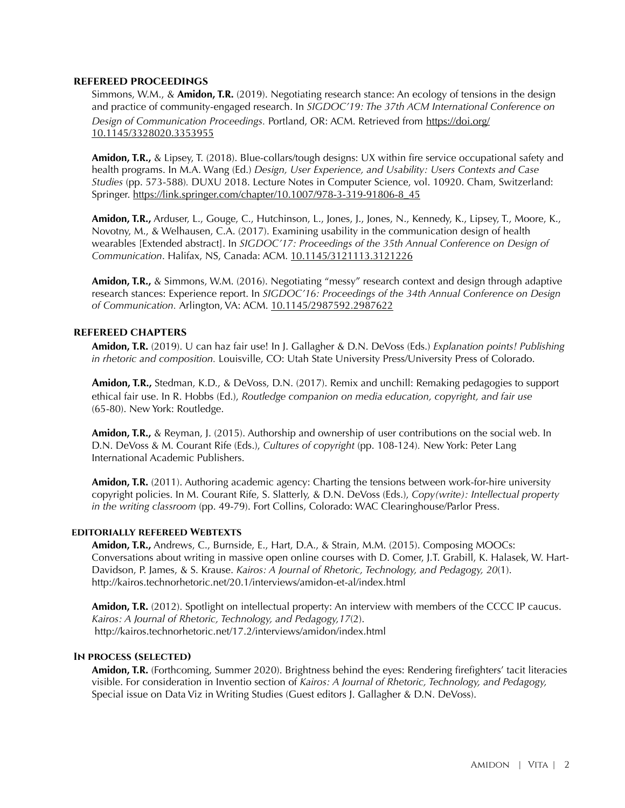#### **refereed proceedings**

Simmons, W.M., & **Amidon, T.R.** (2019). Negotiating research stance: An ecology of tensions in the design and practice of community-engaged research. In *SIGDOC'19: The 37th ACM International Conference on Design of Communication Proceedings.* Portland, OR: ACM. Retrieved from [https://doi.org/](https://doi.org/10.1145/3328020.3353955) [10.1145/3328020.3353955](https://doi.org/10.1145/3328020.3353955) 

**Amidon, T.R.,** & Lipsey, T. (2018). Blue-collars/tough designs: UX within fire service occupational safety and health programs. In M.A. Wang (Ed.) *Design, User Experience, and Usability: Users Contexts and Case Studies* (pp. 573-588)*.* DUXU 2018. Lecture Notes in Computer Science, vol. 10920. Cham, Switzerland: Springer. [https://link.springer.com/chapter/10.1007/978-3-319-91806-8\\_45](https://link.springer.com/chapter/10.1007/978-3-319-91806-8_45) 

**Amidon, T.R.,** Arduser, L., Gouge, C., Hutchinson, L., Jones, J., Jones, N., Kennedy, K., Lipsey, T., Moore, K., Novotny, M., & Welhausen, C.A. (2017). Examining usability in the communication design of health wearables [Extended abstract]. In *SIGDOC'17: Proceedings of the 35th Annual Conference on Design of Communication*. Halifax, NS, Canada: ACM. [10.1145/3121113.3121226](https://doi.org/10.1145/3121113.3121226)

Amidon, T.R., & Simmons, W.M. (2016). Negotiating "messy" research context and design through adaptive research stances: Experience report. In *SIGDOC'16: Proceedings of the 34th Annual Conference on Design of Communication.* Arlington, VA: ACM. [10.1145/2987592.2987622](https://doi.org/10.1145/2987592.2987622)

#### **refereed chapters**

**Amidon, T.R.** (2019). U can haz fair use! In J. Gallagher & D.N. DeVoss (Eds.) *Explanation points! Publishing in rhetoric and composition.* Louisville, CO: Utah State University Press/University Press of Colorado.

**Amidon, T.R.,** Stedman, K.D., & DeVoss, D.N. (2017). Remix and unchill: Remaking pedagogies to support ethical fair use. In R. Hobbs (Ed.), *Routledge companion on media education, copyright, and fair use*  (65-80). New York: Routledge.

**Amidon, T.R.,** & Reyman, J. (2015). Authorship and ownership of user contributions on the social web. In D.N. DeVoss & M. Courant Rife (Eds.), *Cultures of copyright* (pp. 108-124)*.* New York: Peter Lang International Academic Publishers.

**Amidon, T.R.** (2011). Authoring academic agency: Charting the tensions between work-for-hire university copyright policies. In M. Courant Rife, S. Slatterly, & D.N. DeVoss (Eds.), *Copy(write): Intellectual property in the writing classroom* (pp. 49-79). Fort Collins, Colorado: WAC Clearinghouse/Parlor Press.

#### **editorially refereed Webtexts**

**Amidon, T.R.,** Andrews, C., Burnside, E., Hart, D.A., & Strain, M.M. (2015). Composing MOOCs: Conversations about writing in massive open online courses with D. Comer, J.T. Grabill, K. Halasek, W. Hart-Davidson, P. James, & S. Krause. *Kairos: A Journal of Rhetoric, Technology, and Pedagogy, 20*(1). <http://kairos.technorhetoric.net/20.1/interviews/amidon-et-al/index.html>

**Amidon, T.R.** (2012). Spotlight on intellectual property: An interview with members of the CCCC IP caucus. *Kairos: A Journal of Rhetoric, Technology, and Pedagogy,17*(2). <http://kairos.technorhetoric.net/17.2/interviews/amidon/index.html>

#### **In process (selected)**

**Amidon, T.R.** (Forthcoming, Summer 2020). Brightness behind the eyes: Rendering firefighters' tacit literacies visible. For consideration in Inventio section of *Kairos: A Journal of Rhetoric, Technology, and Pedagogy,*  Special issue on Data Viz in Writing Studies (Guest editors J. Gallagher & D.N. DeVoss).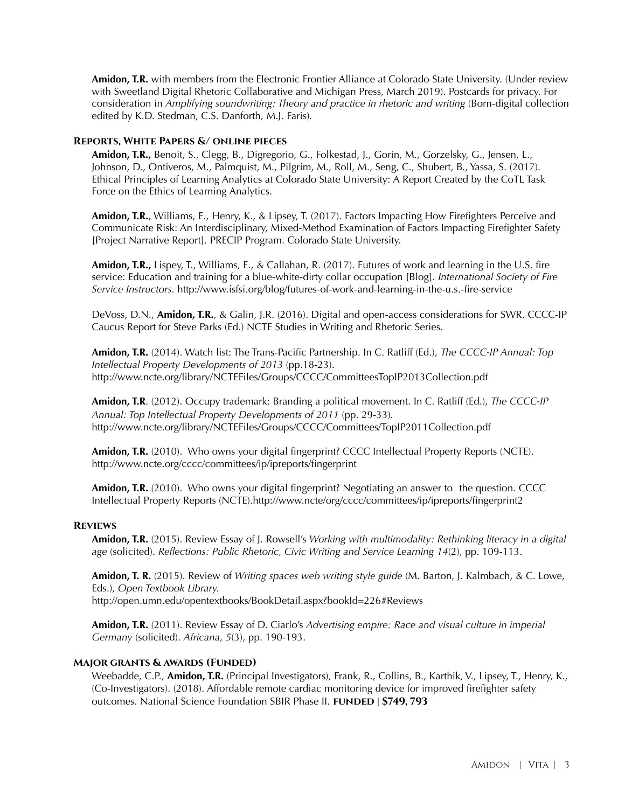**Amidon, T.R.** with members from the Electronic Frontier Alliance at Colorado State University. (Under review with Sweetland Digital Rhetoric Collaborative and Michigan Press, March 2019). Postcards for privacy. For consideration in *Amplifying soundwriting: Theory and practice in rhetoric and writing (Born-digital collection* edited by K.D. Stedman, C.S. Danforth, M.J. Faris)*.* 

#### **Reports, White Papers &/ online pieces**

**Amidon, T.R.,** Benoit, S., Clegg, B., Digregorio, G., Folkestad, J., Gorin, M., Gorzelsky, G., Jensen, L., Johnson, D., Ontiveros, M., Palmquist, M., Pilgrim, M., Roll, M., Seng, C., Shubert, B., Yassa, S. (2017). Ethical Principles of Learning Analytics at Colorado State University: A Report Created by the CoTL Task Force on the Ethics of Learning Analytics.

**Amidon, T.R.**, Williams, E., Henry, K., & Lipsey, T. (2017). Factors Impacting How Firefighters Perceive and Communicate Risk: An Interdisciplinary, Mixed-Method Examination of Factors Impacting Firefighter Safety [Project Narrative Report]. PRECIP Program. Colorado State University.

**Amidon, T.R.,** Lispey, T., Williams, E., & Callahan, R. (2017). Futures of work and learning in the U.S. fire service: Education and training for a blue-white-dirty collar occupation [Blog]. *International Society of Fire Service Instructors.* <http://www.isfsi.org/blog/futures-of-work-and-learning-in-the-u.s.-fire-service>

DeVoss, D.N., **Amidon, T.R.**, & Galin, J.R. (2016). Digital and open-access considerations for SWR. CCCC-IP Caucus Report for Steve Parks (Ed.) NCTE Studies in Writing and Rhetoric Series.

**Amidon, T.R.** (2014). Watch list: The Trans-Pacific Partnership. In C. Ratliff (Ed.), *The CCCC-IP Annual: Top Intellectual Property Developments of 2013* (pp.18-23). <http://www.ncte.org/library/NCTEFiles/Groups/CCCC/CommitteesTopIP2013Collection.pdf>

**Amidon, T.R**. (2012). Occupy trademark: Branding a political movement. In C. Ratliff (Ed.), *The CCCC-IP Annual: Top Intellectual Property Developments of 2011* (pp. 29-33)*.*  <http://www.ncte.org/library/NCTEFiles/Groups/CCCC/Committees/TopIP2011Collection.pdf>

**Amidon, T.R.** (2010). Who owns your digital fingerprint? CCCC Intellectual Property Reports (NCTE). <http://www.ncte.org/cccc/committees/ip/ipreports/fingerprint>

**Amidon, T.R.** (2010). Who owns your digital fingerprint? Negotiating an answer to the question. CCCC Intellectual Property Reports (NCTE).http://www.ncte/org/cccc/committees/ip/ipreports/fingerprint2

#### **Reviews**

**Amidon, T.R.** (2015). Review Essay of J. Rowsell's *Working with multimodality: Rethinking literacy in a digital age* (solicited). *Reflections: Public Rhetoric, Civic Writing and Service Learning 14*(2), pp. 109-113.

**Amidon, T. R.** (2015). Review of *Writing spaces web writing style guide* (M. Barton, J. Kalmbach, & C. Lowe, Eds.), *Open Textbook Library.*  <http://open.umn.edu/opentextbooks/BookDetail.aspx?bookId=226#Reviews>

**Amidon, T.R.** (2011). Review Essay of D. Ciarlo's *Advertising empire: Race and visual culture in imperial Germany* (solicited). *Africana, 5*(3), pp. 190-193.

#### **Major grants & awards (Funded)**

Weebadde, C.P., **Amidon, T.R.** (Principal Investigators), Frank, R., Collins, B., Karthik, V., Lipsey, T., Henry, K., (Co-Investigators). (2018). Affordable remote cardiac monitoring device for improved firefighter safety outcomes. National Science Foundation SBIR Phase II. **FUNDED | \$749, 793**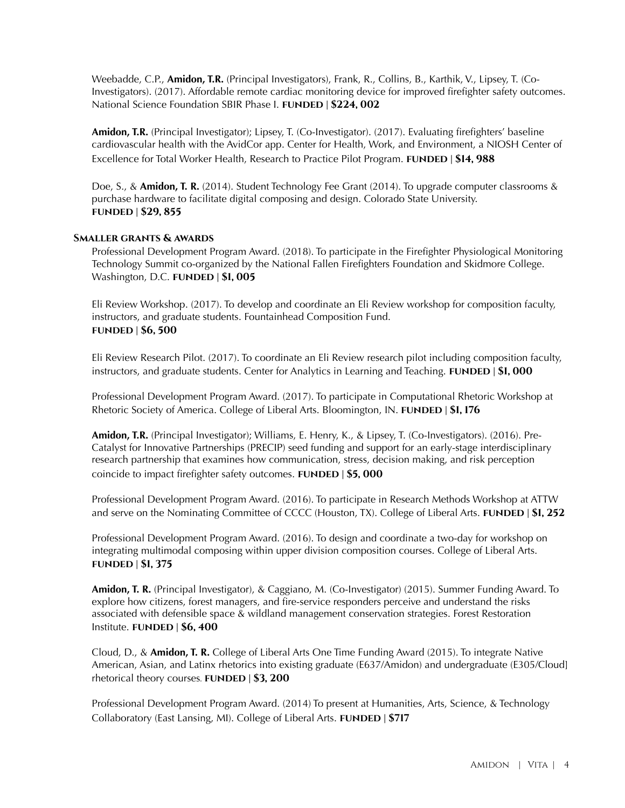Weebadde, C.P., **Amidon, T.R.** (Principal Investigators), Frank, R., Collins, B., Karthik, V., Lipsey, T. (Co-Investigators). (2017). Affordable remote cardiac monitoring device for improved firefighter safety outcomes. National Science Foundation SBIR Phase I. **funded | \$224, 002** 

**Amidon, T.R.** (Principal Investigator); Lipsey, T. (Co-Investigator). (2017). Evaluating firefighters' baseline cardiovascular health with the AvidCor app. Center for Health, Work, and Environment, a NIOSH Center of Excellence for Total Worker Health, Research to Practice Pilot Program. **FUNDED** | \$14, 988

Doe, S., & **Amidon, T. R.** (2014). Student Technology Fee Grant (2014). To upgrade computer classrooms & purchase hardware to facilitate digital composing and design. Colorado State University. **funded | \$29, 855** 

#### **Smaller grants & awards**

Professional Development Program Award. (2018). To participate in the Firefighter Physiological Monitoring Technology Summit co-organized by the National Fallen Firefighters Foundation and Skidmore College. Washington, D.C. **funded | \$1, 005** 

Eli Review Workshop. (2017). To develop and coordinate an Eli Review workshop for composition faculty, instructors, and graduate students. Fountainhead Composition Fund. **funded | \$6, 500** 

Eli Review Research Pilot. (2017). To coordinate an Eli Review research pilot including composition faculty, instructors, and graduate students. Center for Analytics in Learning and Teaching. **FUNDED** | \$1,000

Professional Development Program Award. (2017). To participate in Computational Rhetoric Workshop at Rhetoric Society of America. College of Liberal Arts. Bloomington, IN. **funded | \$1, 176** 

**Amidon, T.R.** (Principal Investigator); Williams, E. Henry, K., & Lipsey, T. (Co-Investigators). (2016). Pre-Catalyst for Innovative Partnerships (PRECIP) seed funding and support for an early-stage interdisciplinary research partnership that examines how communication, stress, decision making, and risk perception coincide to impact firefighter safety outcomes. **FUNDED** | \$5,000

Professional Development Program Award. (2016). To participate in Research Methods Workshop at ATTW and serve on the Nominating Committee of CCCC (Houston, TX). College of Liberal Arts. **FUNDED** | \$1, 252

Professional Development Program Award. (2016). To design and coordinate a two-day for workshop on integrating multimodal composing within upper division composition courses. College of Liberal Arts. **funded | \$1, 375** 

**Amidon, T. R.** (Principal Investigator), & Caggiano, M. (Co-Investigator) (2015). Summer Funding Award. To explore how citizens, forest managers, and fire-service responders perceive and understand the risks associated with defensible space & wildland management conservation strategies. Forest Restoration Institute. **funded | \$6, 400** 

Cloud, D., & **Amidon, T. R.** College of Liberal Arts One Time Funding Award (2015). To integrate Native American, Asian, and Latinx rhetorics into existing graduate (E637/Amidon) and undergraduate (E305/Cloud] rhetorical theory courses. **FUNDED** | \$3, 200

Professional Development Program Award. (2014) To present at Humanities, Arts, Science, & Technology Collaboratory (East Lansing, MI). College of Liberal Arts. **FUNDED | \$717**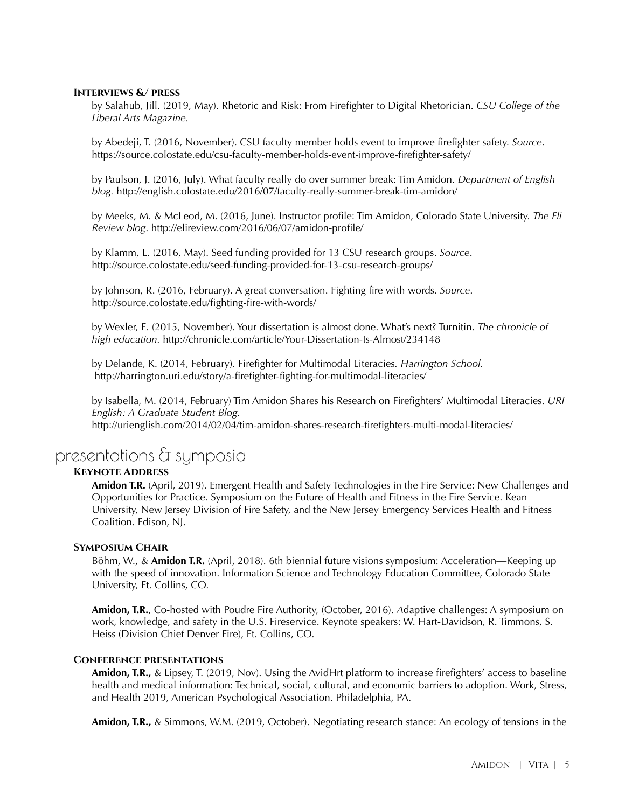#### **Interviews &/ press**

by Salahub, Jill. (2019, May). Rhetoric and Risk: From Firefighter to Digital Rhetorician. *CSU College of the Liberal Arts Magazine.* 

by Abedeji, T. (2016, November). CSU faculty member holds event to improve firefighter safety. *Source*. [https://source.colostate.edu/csu-faculty-member-holds-event-improve-firefighter-safety/](https://source.colostate.edu/csu-faculty-member-holds-event-improve-firefighter-safety)

by Paulson, J. (2016, July). What faculty really do over summer break: Tim Amidon. *Department of English blog.* <http://english.colostate.edu/2016/07/faculty-really-summer-break-tim-amidon>/

by Meeks, M. & McLeod, M. (2016, June). Instructor profile: Tim Amidon, Colorado State University. *The Eli Review blog*.<http://elireview.com/2016/06/07/amidon-profile>/

by Klamm, L. (2016, May). Seed funding provided for 13 CSU research groups. *Source*. <http://source.colostate.edu/seed-funding-provided-for-13-csu-research->groups/

by Johnson, R. (2016, February). A great conversation. Fighting fire with words. *Source*. <http://source.colostate.edu/fighting-fire-with-words>/

by Wexler, E. (2015, November). Your dissertation is almost done. What's next? Turnitin. *The chronicle of high education.* <http://chronicle.com/article/Your-Dissertation-Is-Almost/234148>

by Delande, K. (2014, February). Firefighter for Multimodal Literacies*. Harrington School.*  [http://harrington.uri.edu/story/a-firefighter-fighting-for-multimodal-literacies/](http://harrington.uri.edu/story/a-firefighter-fighting-for-multimodal-literacies)

by Isabella, M. (2014, February) Tim Amidon Shares his Research on Firefighters' Multimodal Literacies. *URI English: A Graduate Student Blog.*  <http://urienglish.com/2014/02/04/tim-amidon-shares-research-firefighters-multi-modal-literacies/>

# presentations & symposia

#### **Keynote Address**

**Amidon T.R.** (April, 2019). Emergent Health and Safety Technologies in the Fire Service: New Challenges and Opportunities for Practice. Symposium on the Future of Health and Fitness in the Fire Service. Kean University, New Jersey Division of Fire Safety, and the New Jersey Emergency Services Health and Fitness Coalition. Edison, NJ.

#### **Symposium Chair**

Böhm, W., & **Amidon T.R.** (April, 2018). 6th biennial future visions symposium: Acceleration—Keeping up with the speed of innovation. Information Science and Technology Education Committee, Colorado State University, Ft. Collins, CO.

**Amidon, T.R.**, Co-hosted with Poudre Fire Authority, (October, 2016). *A*daptive challenges: A symposium on work, knowledge, and safety in the U.S. Fireservice. Keynote speakers: W. Hart-Davidson, R. Timmons, S. Heiss (Division Chief Denver Fire), Ft. Collins, CO.

#### **Conference presentations**

**Amidon, T.R.,** & Lipsey, T. (2019, Nov). Using the AvidHrt platform to increase firefighters' access to baseline health and medical information: Technical, social, cultural, and economic barriers to adoption. Work, Stress, and Health 2019, American Psychological Association. Philadelphia, PA.

**Amidon, T.R.,** & Simmons, W.M. (2019, October). Negotiating research stance: An ecology of tensions in the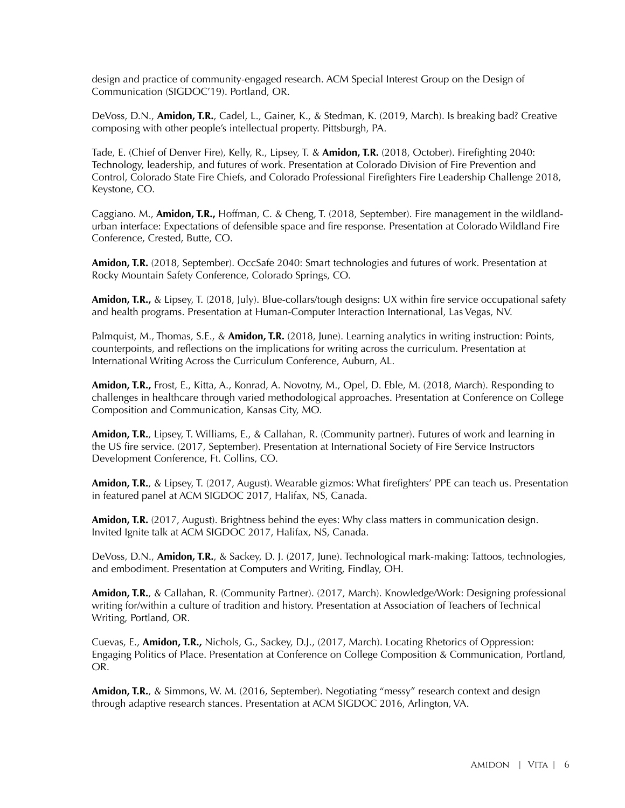design and practice of community-engaged research. ACM Special Interest Group on the Design of Communication (SIGDOC'19). Portland, OR.

DeVoss, D.N., **Amidon, T.R.**, Cadel, L., Gainer, K., & Stedman, K. (2019, March). Is breaking bad? Creative composing with other people's intellectual property. Pittsburgh, PA.

Tade, E. (Chief of Denver Fire), Kelly, R., Lipsey, T. & **Amidon, T.R.** (2018, October). Firefighting 2040: Technology, leadership, and futures of work. Presentation at Colorado Division of Fire Prevention and Control, Colorado State Fire Chiefs, and Colorado Professional Firefighters Fire Leadership Challenge 2018, Keystone, CO.

Caggiano. M., **Amidon, T.R.,** Hoffman, C. & Cheng, T. (2018, September). Fire management in the wildlandurban interface: Expectations of defensible space and fire response. Presentation at Colorado Wildland Fire Conference, Crested, Butte, CO.

**Amidon, T.R.** (2018, September). OccSafe 2040: Smart technologies and futures of work. Presentation at Rocky Mountain Safety Conference, Colorado Springs, CO.

**Amidon, T.R.,** & Lipsey, T. (2018, July). Blue-collars/tough designs: UX within fire service occupational safety and health programs. Presentation at Human-Computer Interaction International, Las Vegas, NV.

Palmquist, M., Thomas, S.E., & **Amidon, T.R.** (2018, June). Learning analytics in writing instruction: Points, counterpoints, and reflections on the implications for writing across the curriculum. Presentation at International Writing Across the Curriculum Conference, Auburn, AL.

**Amidon, T.R.,** Frost, E., Kitta, A., Konrad, A. Novotny, M., Opel, D. Eble, M. (2018, March). Responding to challenges in healthcare through varied methodological approaches. Presentation at Conference on College Composition and Communication, Kansas City, MO.

**Amidon, T.R.**, Lipsey, T. Williams, E., & Callahan, R. (Community partner). Futures of work and learning in the US fire service. (2017, September). Presentation at International Society of Fire Service Instructors Development Conference, Ft. Collins, CO.

**Amidon, T.R.**, & Lipsey, T. (2017, August). Wearable gizmos: What firefighters' PPE can teach us. Presentation in featured panel at ACM SIGDOC 2017, Halifax, NS, Canada.

**Amidon, T.R.** (2017, August). Brightness behind the eyes: Why class matters in communication design. Invited Ignite talk at ACM SIGDOC 2017, Halifax, NS, Canada.

DeVoss, D.N., **Amidon, T.R.**, & Sackey, D. J. (2017, June). Technological mark-making: Tattoos, technologies, and embodiment. Presentation at Computers and Writing, Findlay, OH.

**Amidon, T.R.**, & Callahan, R. (Community Partner). (2017, March). Knowledge/Work: Designing professional writing for/within a culture of tradition and history. Presentation at Association of Teachers of Technical Writing, Portland, OR.

Cuevas, E., **Amidon, T.R.,** Nichols, G., Sackey, D.J., (2017, March). Locating Rhetorics of Oppression: Engaging Politics of Place. Presentation at Conference on College Composition & Communication, Portland, OR.

**Amidon, T.R.**, & Simmons, W. M. (2016, September). Negotiating "messy" research context and design through adaptive research stances. Presentation at ACM SIGDOC 2016, Arlington, VA.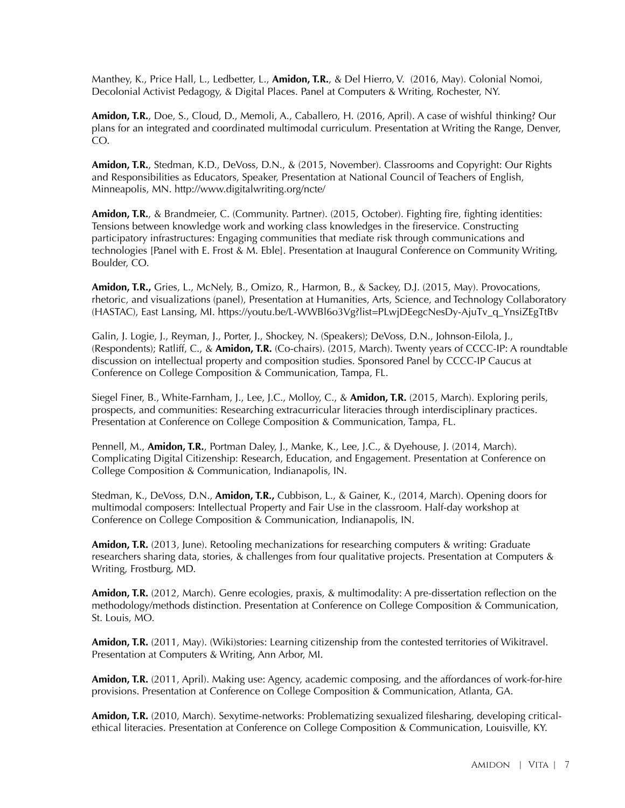Manthey, K., Price Hall, L., Ledbetter, L., **Amidon, T.R.**, & Del Hierro, V. (2016, May). Colonial Nomoi, Decolonial Activist Pedagogy, & Digital Places. Panel at Computers & Writing, Rochester, NY.

**Amidon, T.R.**, Doe, S., Cloud, D., Memoli, A., Caballero, H. (2016, April). A case of wishful thinking? Our plans for an integrated and coordinated multimodal curriculum. Presentation at Writing the Range, Denver, CO.

**Amidon, T.R.**, Stedman, K.D., DeVoss, D.N., & (2015, November). Classrooms and Copyright: Our Rights and Responsibilities as Educators, Speaker, Presentation at National Council of Teachers of English, Minneapolis, MN.<http://www.digitalwriting.org/ncte>/

**Amidon, T.R.**, & Brandmeier, C. (Community. Partner). (2015, October). Fighting fire, fighting identities: Tensions between knowledge work and working class knowledges in the fireservice. Constructing participatory infrastructures: Engaging communities that mediate risk through communications and technologies [Panel with E. Frost & M. Eble]. Presentation at Inaugural Conference on Community Writing, Boulder, CO.

**Amidon, T.R.,** Gries, L., McNely, B., Omizo, R., Harmon, B., & Sackey, D.J. (2015, May). Provocations, rhetoric, and visualizations (panel), Presentation at Humanities, Arts, Science, and Technology Collaboratory (HASTAC), East Lansing, MI. [https://youtu.be/L-WWBl6o3Vg?list=PLwjDEegcNesDy-AjuTv\\_q\\_YnsiZEgTtBv](https://youtu.be/L-WWBl6o3Vg?list=PLwjDEegcNesDy-AjuTv_q_YnsiZEgTtBv)

Galin, J. Logie, J., Reyman, J., Porter, J., Shockey, N. (Speakers); DeVoss, D.N., Johnson-Eilola, J., (Respondents); Ratliff, C., & **Amidon, T.R.** (Co-chairs). (2015, March). Twenty years of CCCC-IP: A roundtable discussion on intellectual property and composition studies. Sponsored Panel by CCCC-IP Caucus at Conference on College Composition & Communication, Tampa, FL.

Siegel Finer, B., White-Farnham, J., Lee, J.C., Molloy, C., & **Amidon, T.R.** (2015, March). Exploring perils, prospects, and communities: Researching extracurricular literacies through interdisciplinary practices. Presentation at Conference on College Composition & Communication, Tampa, FL.

Pennell, M., **Amidon, T.R.**, Portman Daley, J., Manke, K., Lee, J.C., & Dyehouse, J. (2014, March). Complicating Digital Citizenship: Research, Education, and Engagement. Presentation at Conference on College Composition & Communication, Indianapolis, IN.

Stedman, K., DeVoss, D.N., **Amidon, T.R.,** Cubbison, L., & Gainer, K., (2014, March). Opening doors for multimodal composers: Intellectual Property and Fair Use in the classroom. Half-day workshop at Conference on College Composition & Communication, Indianapolis, IN.

**Amidon, T.R.** (2013, June). Retooling mechanizations for researching computers & writing: Graduate researchers sharing data, stories, & challenges from four qualitative projects. Presentation at Computers & Writing, Frostburg, MD.

**Amidon, T.R.** (2012, March). Genre ecologies, praxis, & multimodality: A pre-dissertation reflection on the methodology/methods distinction. Presentation at Conference on College Composition & Communication, St. Louis, MO.

**Amidon, T.R.** (2011, May). (Wiki)stories: Learning citizenship from the contested territories of Wikitravel. Presentation at Computers & Writing, Ann Arbor, MI.

**Amidon, T.R.** (2011, April). Making use: Agency, academic composing, and the affordances of work-for-hire provisions. Presentation at Conference on College Composition & Communication, Atlanta, GA.

**Amidon, T.R.** (2010, March). Sexytime-networks: Problematizing sexualized filesharing, developing criticalethical literacies. Presentation at Conference on College Composition & Communication, Louisville, KY.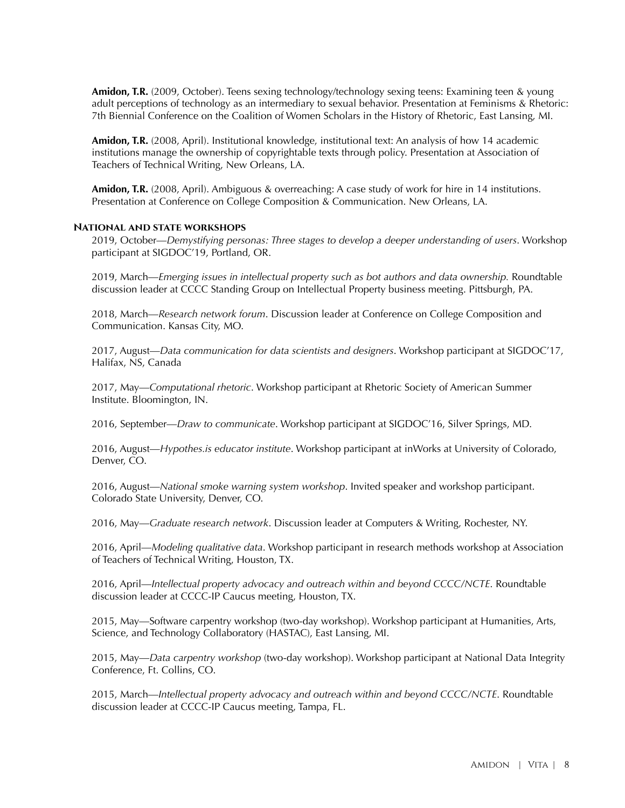**Amidon, T.R.** (2009, October). Teens sexing technology/technology sexing teens: Examining teen & young adult perceptions of technology as an intermediary to sexual behavior. Presentation at Feminisms & Rhetoric: 7th Biennial Conference on the Coalition of Women Scholars in the History of Rhetoric, East Lansing, MI.

**Amidon, T.R.** (2008, April). Institutional knowledge, institutional text: An analysis of how 14 academic institutions manage the ownership of copyrightable texts through policy. Presentation at Association of Teachers of Technical Writing, New Orleans, LA.

**Amidon, T.R.** (2008, April). Ambiguous & overreaching: A case study of work for hire in 14 institutions. Presentation at Conference on College Composition & Communication. New Orleans, LA.

#### **National and state workshops**

2019, October—*Demystifying personas: Three stages to develop a deeper understanding of users*. Workshop participant at SIGDOC'19, Portland, OR.

2019, March—*Emerging issues in intellectual property such as bot authors and data ownership.* Roundtable discussion leader at CCCC Standing Group on Intellectual Property business meeting. Pittsburgh, PA.

2018, March—*Research network forum*. Discussion leader at Conference on College Composition and Communication. Kansas City, MO.

2017, August—*Data communication for data scientists and designers*. Workshop participant at SIGDOC'17, Halifax, NS, Canada

2017, May—*Computational rhetoric*. Workshop participant at Rhetoric Society of American Summer Institute. Bloomington, IN.

2016, September—Draw to communicate. Workshop participant at SIGDOC'16, Silver Springs, MD.

2016, [August—](https://August�Hypothes.is)*Hypothes.is educator institute*. Workshop participant at inWorks at University of Colorado, Denver, CO.

2016, August—*National smoke warning system workshop*. Invited speaker and workshop participant. Colorado State University, Denver, CO.

2016, May—*Graduate research network*. Discussion leader at Computers & Writing, Rochester, NY.

2016, April—*Modeling qualitative data*. Workshop participant in research methods workshop at Association of Teachers of Technical Writing, Houston, TX.

2016, April—*Intellectual property advocacy and outreach within and beyond CCCC/NCTE*. Roundtable discussion leader at CCCC-IP Caucus meeting, Houston, TX.

2015, May—Software carpentry workshop (two-day workshop). Workshop participant at Humanities, Arts, Science, and Technology Collaboratory (HASTAC), East Lansing, MI.

2015, May—*Data carpentry workshop* (two-day workshop). Workshop participant at National Data Integrity Conference, Ft. Collins, CO.

2015, March—*Intellectual property advocacy and outreach within and beyond CCCC/NCTE*. Roundtable discussion leader at CCCC-IP Caucus meeting, Tampa, FL.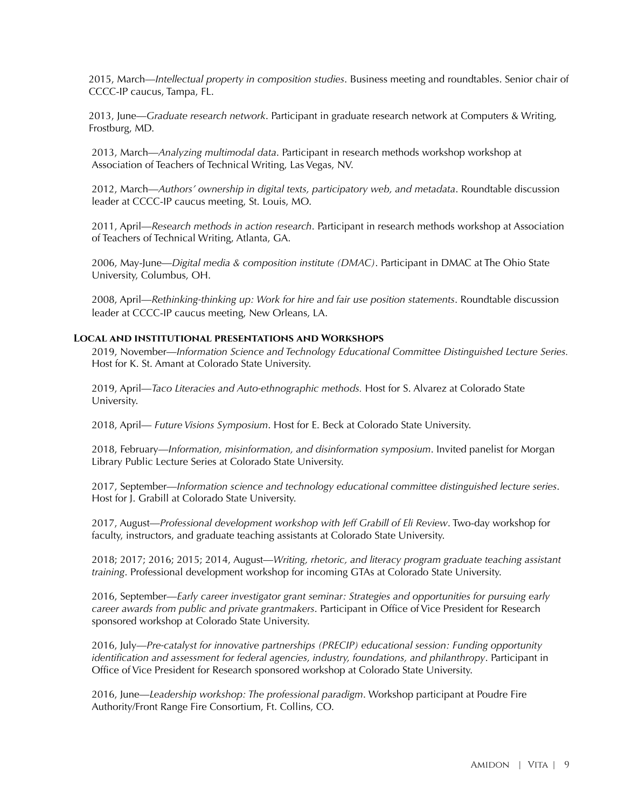2015, March—*Intellectual property in composition studies*. Business meeting and roundtables. Senior chair of CCCC-IP caucus, Tampa, FL.

2013, June—*Graduate research network*. Participant in graduate research network at Computers & Writing, Frostburg, MD.

2013, March—*Analyzing multimodal data*. Participant in research methods workshop workshop at Association of Teachers of Technical Writing, Las Vegas, NV.

2012, March—*Authors' ownership in digital texts, participatory web, and metadata*. Roundtable discussion leader at CCCC-IP caucus meeting, St. Louis, MO.

2011, April—*Research methods in action research*. Participant in research methods workshop at Association of Teachers of Technical Writing, Atlanta, GA.

2006, May-June—*Digital media & composition institute (DMAC)*. Participant in DMAC at The Ohio State University, Columbus, OH.

2008, April—*Rethinking-thinking up: Work for hire and fair use position statements*. Roundtable discussion leader at CCCC-IP caucus meeting, New Orleans, LA.

#### **Local and institutional presentations and Workshops**

2019, November—*Information Science and Technology Educational Committee Distinguished Lecture Series.*  Host for K. St. Amant at Colorado State University.

2019, April—*Taco Literacies and Auto-ethnographic methods.* Host for S. Alvarez at Colorado State University.

2018, April— *Future Visions Symposium*. Host for E. Beck at Colorado State University.

2018, February—*Information, misinformation, and disinformation symposium*. Invited panelist for Morgan Library Public Lecture Series at Colorado State University.

2017, September—*Information science and technology educational committee distinguished lecture series*. Host for J. Grabill at Colorado State University.

2017, August—*Professional development workshop with Jeff Grabill of Eli Review*. Two-day workshop for faculty, instructors, and graduate teaching assistants at Colorado State University.

2018; 2017; 2016; 2015; 2014, August—*Writing, rhetoric, and literacy program graduate teaching assistant training*. Professional development workshop for incoming GTAs at Colorado State University.

2016, September—*Early career investigator grant seminar: Strategies and opportunities for pursuing early career awards from public and private grantmakers*. Participant in Office of Vice President for Research sponsored workshop at Colorado State University.

2016, July—*Pre-catalyst for innovative partnerships (PRECIP) educational session: Funding opportunity identification and assessment for federal agencies, industry, foundations, and philanthropy*. Participant in Office of Vice President for Research sponsored workshop at Colorado State University.

2016, June—*Leadership workshop: The professional paradigm*. Workshop participant at Poudre Fire Authority/Front Range Fire Consortium, Ft. Collins, CO.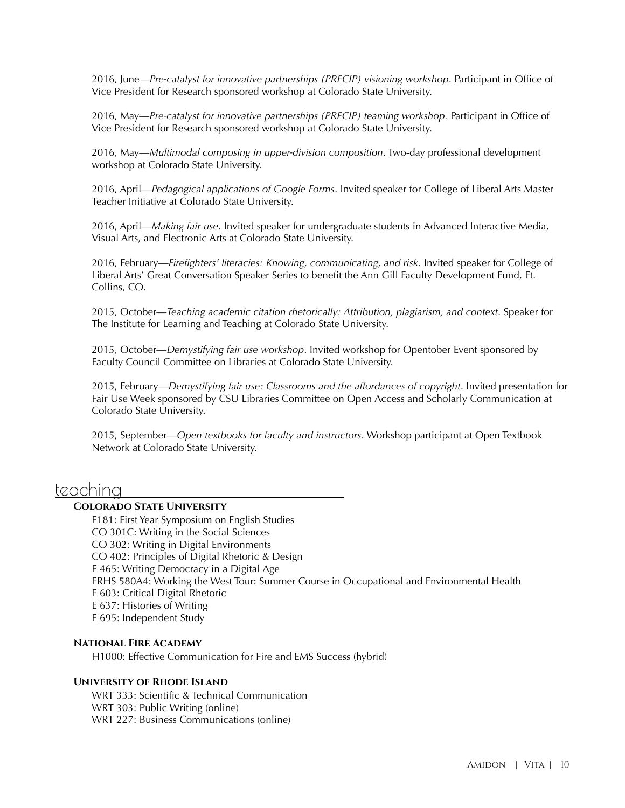2016, June—*Pre-catalyst for innovative partnerships (PRECIP) visioning workshop*. Participant in Office of Vice President for Research sponsored workshop at Colorado State University.

2016, May—*Pre-catalyst for innovative partnerships (PRECIP) teaming workshop.* Participant in Office of Vice President for Research sponsored workshop at Colorado State University.

2016, May—*Multimodal composing in upper-division composition*. Two-day professional development workshop at Colorado State University.

2016, April—*Pedagogical applications of Google Forms*. Invited speaker for College of Liberal Arts Master Teacher Initiative at Colorado State University.

2016, April—*Making fair use*. Invited speaker for undergraduate students in Advanced Interactive Media, Visual Arts, and Electronic Arts at Colorado State University.

2016, February—*Firefighters' literacies: Knowing, communicating, and risk*. Invited speaker for College of Liberal Arts' Great Conversation Speaker Series to benefit the Ann Gill Faculty Development Fund, Ft. Collins, CO.

2015, October—*Teaching academic citation rhetorically: Attribution, plagiarism, and context*. Speaker for The Institute for Learning and Teaching at Colorado State University.

2015, October—*Demystifying fair use workshop*. Invited workshop for Opentober Event sponsored by Faculty Council Committee on Libraries at Colorado State University.

**Colorado State University.** 2015, February—*Demystifying fair use: Classrooms and the affordances of copyright*. Invited presentation for Fair Use Week sponsored by CSU Libraries Committee on Open Access and Scholarly Communication at

2015, September—*Open textbooks for faculty and instructors*. Workshop participant at Open Textbook Network at Colorado State University.

### teaching

#### **Colorado State University**

E181: First Year Symposium on English Studies CO 301C: Writing in the Social Sciences CO 302: Writing in Digital Environments CO 402: Principles of Digital Rhetoric & Design E 465: Writing Democracy in a Digital Age ERHS 580A4: Working the West Tour: Summer Course in Occupational and Environmental Health E 603: Critical Digital Rhetoric E 637: Histories of Writing E 695: Independent Study

#### **National Fire Academy**

H1000: Effective Communication for Fire and EMS Success (hybrid)

#### **University of Rhode Island**

WRT 333: Scientific & Technical Communication WRT 303: Public Writing (online) WRT 227: Business Communications (online)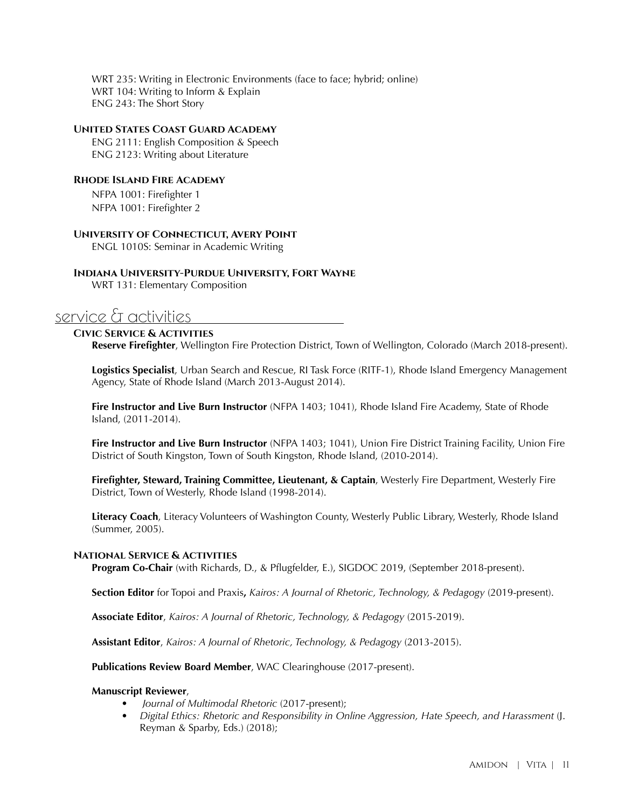WRT 235: Writing in Electronic Environments (face to face; hybrid; online) WRT 104: Writing to Inform & Explain ENG 243: The Short Story

#### **United States Coast Guard Academy**

ENG 2111: English Composition & Speech ENG 2123: Writing about Literature

#### **Rhode Island Fire Academy**

NFPA 1001: Firefighter 1 NFPA 1001: Firefighter 2

#### **University of Connecticut, Avery Point**

ENGL 1010S: Seminar in Academic Writing

#### **Indiana University-Purdue University, Fort Wayne**

WRT 131: Elementary Composition

## service & activities

#### **Civic Service & Activities**

**Reserve Firefighter**, Wellington Fire Protection District, Town of Wellington, Colorado (March 2018-present).

**Logistics Specialist**, Urban Search and Rescue, RI Task Force (RITF-1), Rhode Island Emergency Management Agency, State of Rhode Island (March 2013-August 2014).

**Fire Instructor and Live Burn Instructor** (NFPA 1403; 1041), Rhode Island Fire Academy, State of Rhode Island, (2011-2014).

**Fire Instructor and Live Burn Instructor** (NFPA 1403; 1041), Union Fire District Training Facility, Union Fire District of South Kingston, Town of South Kingston, Rhode Island, (2010-2014).

**Firefighter, Steward, Training Committee, Lieutenant, & Captain**, Westerly Fire Department, Westerly Fire District, Town of Westerly, Rhode Island (1998-2014).

**Literacy Coach**, Literacy Volunteers of Washington County, Westerly Public Library, Westerly, Rhode Island (Summer, 2005).

#### **National Service & Activities**

**Program Co-Chair** (with Richards, D., & Pflugfelder, E.), SIGDOC 2019, (September 2018-present).

**Section Editor** for Topoi and Praxis**,** *Kairos: A Journal of Rhetoric, Technology, & Pedagogy* (2019-present).

**Associate Editor**, *Kairos: A Journal of Rhetoric, Technology, & Pedagogy* (2015-2019).

**Assistant Editor**, *Kairos: A Journal of Rhetoric, Technology, & Pedagogy* (2013-2015).

**Publications Review Board Member**, WAC Clearinghouse (2017-present).

#### **Manuscript Reviewer**,

- *Journal of Multimodal Rhetoric* (2017-present);
- *Digital Ethics: Rhetoric and Responsibility in Online Aggression, Hate Speech, and Harassment* (J. Reyman & Sparby, Eds.) (2018);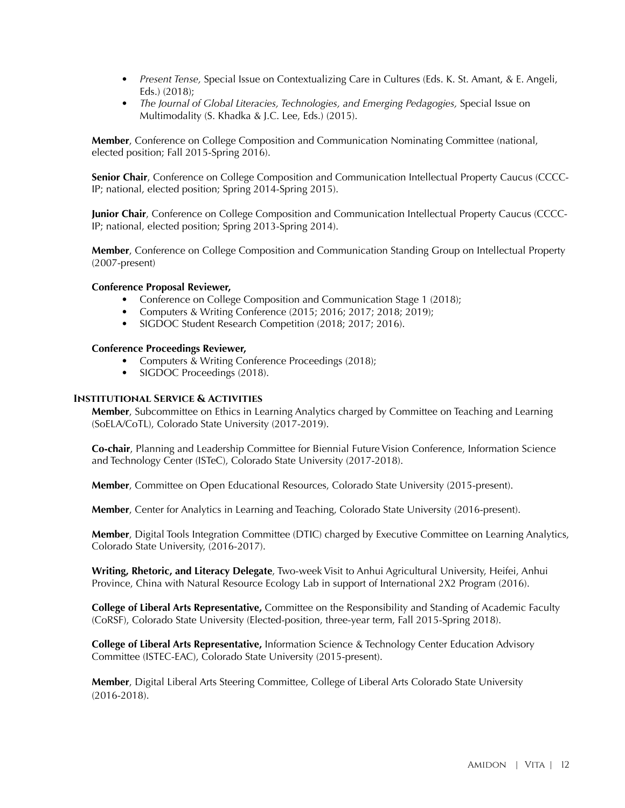- *Present Tense,* Special Issue on Contextualizing Care in Cultures (Eds. K. St. Amant, & E. Angeli, Eds.) (2018);
- *The Journal of Global Literacies, Technologies, and Emerging Pedagogies,* Special Issue on Multimodality (S. Khadka & J.C. Lee, Eds.) (2015).

**Member**, Conference on College Composition and Communication Nominating Committee (national, elected position; Fall 2015-Spring 2016).

**Senior Chair**, Conference on College Composition and Communication Intellectual Property Caucus (CCCC-IP; national, elected position; Spring 2014-Spring 2015).

**Junior Chair**, Conference on College Composition and Communication Intellectual Property Caucus (CCCC-IP; national, elected position; Spring 2013-Spring 2014).

**Member**, Conference on College Composition and Communication Standing Group on Intellectual Property (2007-present)

#### **Conference Proposal Reviewer,**

- Conference on College Composition and Communication Stage 1 (2018);
- Computers & Writing Conference (2015; 2016; 2017; 2018; 2019);
- SIGDOC Student Research Competition (2018; 2017; 2016).

#### **Conference Proceedings Reviewer,**

- Computers & Writing Conference Proceedings (2018);
- SIGDOC Proceedings (2018).

#### **Institutional Service & Activities**

**Member**, Subcommittee on Ethics in Learning Analytics charged by Committee on Teaching and Learning (SoELA/CoTL), Colorado State University (2017-2019).

**Co-chair**, Planning and Leadership Committee for Biennial Future Vision Conference, Information Science and Technology Center (ISTeC), Colorado State University (2017-2018).

**Member**, Committee on Open Educational Resources, Colorado State University (2015-present).

**Member**, Center for Analytics in Learning and Teaching, Colorado State University (2016-present).

**Member**, Digital Tools Integration Committee (DTIC) charged by Executive Committee on Learning Analytics, Colorado State University, (2016-2017).

**Writing, Rhetoric, and Literacy Delegate**, Two-week Visit to Anhui Agricultural University, Heifei, Anhui Province, China with Natural Resource Ecology Lab in support of International 2X2 Program (2016).

**College of Liberal Arts Representative,** Committee on the Responsibility and Standing of Academic Faculty (CoRSF), Colorado State University (Elected-position, three-year term, Fall 2015-Spring 2018).

**College of Liberal Arts Representative,** Information Science & Technology Center Education Advisory Committee (ISTEC-EAC), Colorado State University (2015-present).

**Member**, Digital Liberal Arts Steering Committee, College of Liberal Arts Colorado State University (2016-2018).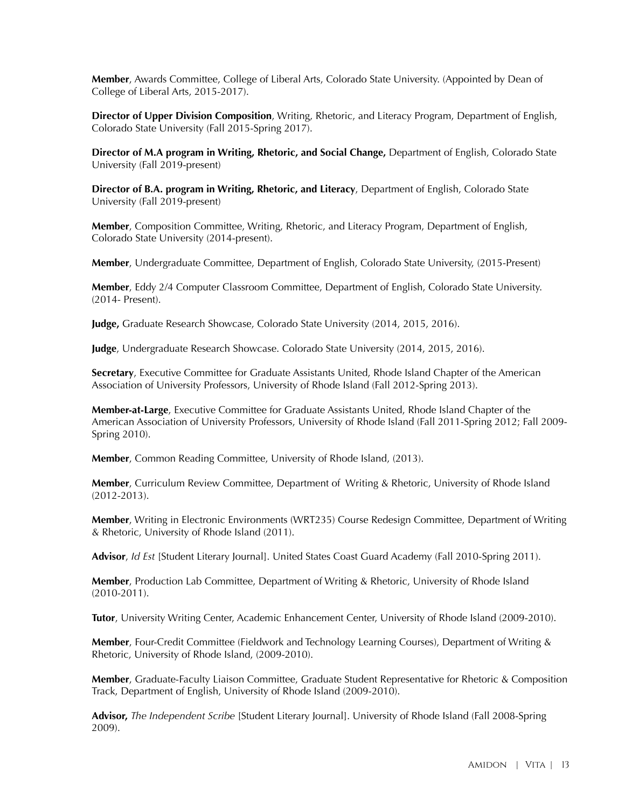**Member**, Awards Committee, College of Liberal Arts, Colorado State University. (Appointed by Dean of College of Liberal Arts, 2015-2017).

**Director of Upper Division Composition**, Writing, Rhetoric, and Literacy Program, Department of English, Colorado State University (Fall 2015-Spring 2017).

**Director of M.A program in Writing, Rhetoric, and Social Change,** Department of English, Colorado State University (Fall 2019-present)

**Director of B.A. program in Writing, Rhetoric, and Literacy**, Department of English, Colorado State University (Fall 2019-present)

**Member**, Composition Committee, Writing, Rhetoric, and Literacy Program, Department of English, Colorado State University (2014-present).

**Member**, Undergraduate Committee, Department of English, Colorado State University, (2015-Present)

**Member**, Eddy 2/4 Computer Classroom Committee, Department of English, Colorado State University. (2014- Present).

**Judge,** Graduate Research Showcase, Colorado State University (2014, 2015, 2016).

**Judge**, Undergraduate Research Showcase. Colorado State University (2014, 2015, 2016).

**Secretary**, Executive Committee for Graduate Assistants United, Rhode Island Chapter of the American Association of University Professors, University of Rhode Island (Fall 2012-Spring 2013).

**Member-at-Large**, Executive Committee for Graduate Assistants United, Rhode Island Chapter of the American Association of University Professors, University of Rhode Island (Fall 2011-Spring 2012; Fall 2009- Spring 2010).

**Member**, Common Reading Committee, University of Rhode Island, (2013).

**Member**, Curriculum Review Committee, Department of Writing & Rhetoric, University of Rhode Island (2012-2013).

**Member**, Writing in Electronic Environments (WRT235) Course Redesign Committee, Department of Writing & Rhetoric, University of Rhode Island (2011).

**Advisor**, *Id Est* [Student Literary Journal]. United States Coast Guard Academy (Fall 2010-Spring 2011).

**Member**, Production Lab Committee, Department of Writing & Rhetoric, University of Rhode Island (2010-2011).

**Tutor**, University Writing Center, Academic Enhancement Center, University of Rhode Island (2009-2010).

**Member**, Four-Credit Committee (Fieldwork and Technology Learning Courses), Department of Writing & Rhetoric, University of Rhode Island, (2009-2010).

**Member**, Graduate-Faculty Liaison Committee, Graduate Student Representative for Rhetoric & Composition Track, Department of English, University of Rhode Island (2009-2010).

**Advisor,** *The Independent Scribe* [Student Literary Journal]. University of Rhode Island (Fall 2008-Spring 2009).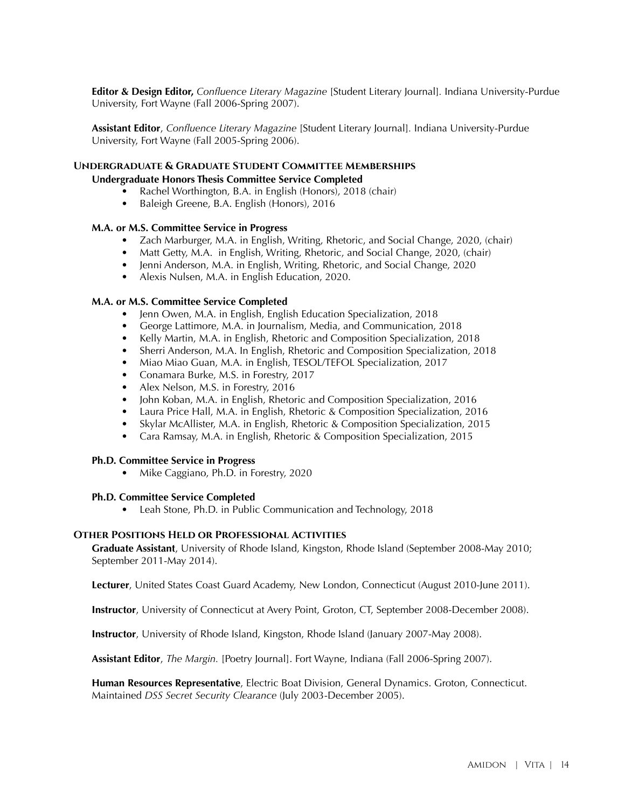**Editor & Design Editor,** *Confluence Literary Magazine* [Student Literary Journal]*.* Indiana University-Purdue University, Fort Wayne (Fall 2006-Spring 2007).

**Assistant Editor**, *Confluence Literary Magazine* [Student Literary Journal]*.* Indiana University-Purdue University, Fort Wayne (Fall 2005-Spring 2006).

#### **Undergraduate & Graduate Student Committee Memberships**

#### **Undergraduate Honors Thesis Committee Service Completed**

- Rachel Worthington, B.A. in English (Honors), 2018 (chair)
- Baleigh Greene, B.A. English (Honors), 2016

#### **M.A. or M.S. Committee Service in Progress**

- Zach Marburger, M.A. in English, Writing, Rhetoric, and Social Change, 2020, (chair)
- Matt Getty, M.A. in English, Writing, Rhetoric, and Social Change, 2020, (chair)
- Jenni Anderson, M.A. in English, Writing, Rhetoric, and Social Change, 2020
- Alexis Nulsen, M.A. in English Education, 2020.

#### **M.A. or M.S. Committee Service Completed**

- Jenn Owen, M.A. in English, English Education Specialization, 2018
- George Lattimore, M.A. in Journalism, Media, and Communication, 2018
- Kelly Martin, M.A. in English, Rhetoric and Composition Specialization, 2018
- Sherri Anderson, M.A. In English, Rhetoric and Composition Specialization, 2018
- Miao Miao Guan, M.A. in English, TESOL/TEFOL Specialization, 2017
- Conamara Burke, M.S. in Forestry, 2017
- Alex Nelson, M.S. in Forestry, 2016
- John Koban, M.A. in English, Rhetoric and Composition Specialization, 2016
- Laura Price Hall, M.A. in English, Rhetoric & Composition Specialization, 2016
- Skylar McAllister, M.A. in English, Rhetoric & Composition Specialization, 2015
- Cara Ramsay, M.A. in English, Rhetoric & Composition Specialization, 2015

#### **Ph.D. Committee Service in Progress**

• Mike Caggiano, Ph.D. in Forestry, 2020

#### **Ph.D. Committee Service Completed**

• Leah Stone, Ph.D. in Public Communication and Technology, 2018

#### **Other Positions Held or Professional Activities**

**Graduate Assistant**, University of Rhode Island, Kingston, Rhode Island (September 2008-May 2010; September 2011-May 2014).

**Lecturer**, United States Coast Guard Academy, New London, Connecticut (August 2010-June 2011).

**Instructor**, University of Connecticut at Avery Point, Groton, CT, September 2008-December 2008).

**Instructor**, University of Rhode Island, Kingston, Rhode Island (January 2007-May 2008).

**Assistant Editor**, *The Margin.* [Poetry Journal]. Fort Wayne, Indiana (Fall 2006-Spring 2007).

**Human Resources Representative**, Electric Boat Division, General Dynamics. Groton, Connecticut. Maintained *DSS Secret Security Clearance* (July 2003-December 2005).